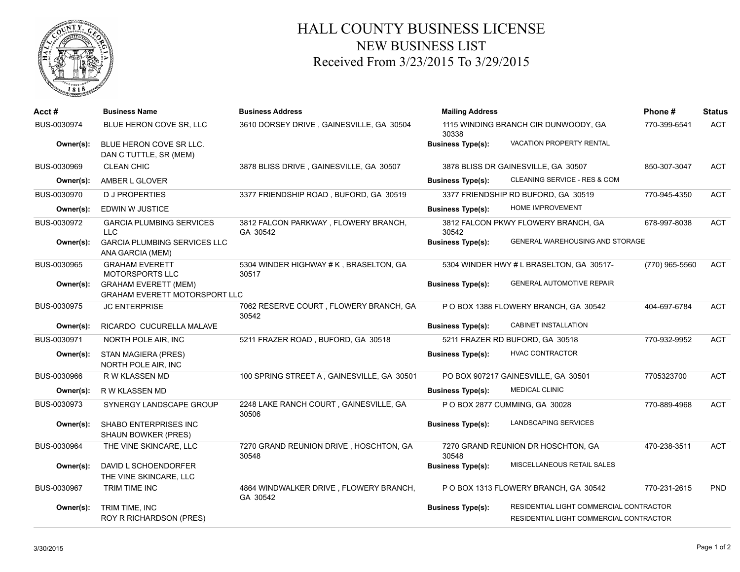

## HALL COUNTY BUSINESS LICENSE NEW BUSINESS LIST Received From 3/23/2015 To 3/29/2015

| Acct#       | <b>Business Name</b>                                                | <b>Business Address</b>                            | <b>Mailing Address</b>                        | Phone#                                   | <b>Status</b>  |            |
|-------------|---------------------------------------------------------------------|----------------------------------------------------|-----------------------------------------------|------------------------------------------|----------------|------------|
| BUS-0030974 | BLUE HERON COVE SR, LLC                                             | 3610 DORSEY DRIVE, GAINESVILLE, GA 30504           | 1115 WINDING BRANCH CIR DUNWOODY, GA<br>30338 |                                          | 770-399-6541   | <b>ACT</b> |
| Owner(s):   | BLUE HERON COVE SR LLC.<br>DAN C TUTTLE, SR (MEM)                   |                                                    | <b>Business Type(s):</b>                      | <b>VACATION PROPERTY RENTAL</b>          |                |            |
| BUS-0030969 | <b>CLEAN CHIC</b>                                                   | 3878 BLISS DRIVE, GAINESVILLE, GA 30507            | 3878 BLISS DR GAINESVILLE, GA 30507           |                                          | 850-307-3047   | <b>ACT</b> |
| Owner(s):   | AMBER L GLOVER                                                      |                                                    | <b>Business Type(s):</b>                      | CLEANING SERVICE - RES & COM             |                |            |
| BUS-0030970 | <b>DJ PROPERTIES</b>                                                | 3377 FRIENDSHIP ROAD, BUFORD, GA 30519             |                                               | 3377 FRIENDSHIP RD BUFORD, GA 30519      | 770-945-4350   | <b>ACT</b> |
| Owner(s):   | <b>EDWIN W JUSTICE</b>                                              |                                                    | <b>Business Type(s):</b>                      | HOME IMPROVEMENT                         |                |            |
| BUS-0030972 | <b>GARCIA PLUMBING SERVICES</b><br>LLC.                             | 3812 FALCON PARKWAY, FLOWERY BRANCH,<br>GA 30542   | 30542                                         | 3812 FALCON PKWY FLOWERY BRANCH, GA      | 678-997-8038   | <b>ACT</b> |
| Owner(s):   | <b>GARCIA PLUMBING SERVICES LLC</b><br>ANA GARCIA (MEM)             |                                                    | <b>Business Type(s):</b>                      | GENERAL WAREHOUSING AND STORAGE          |                |            |
| BUS-0030965 | <b>GRAHAM EVERETT</b><br><b>MOTORSPORTS LLC</b>                     | 5304 WINDER HIGHWAY # K, BRASELTON, GA<br>30517    |                                               | 5304 WINDER HWY # L BRASELTON, GA 30517- | (770) 965-5560 | <b>ACT</b> |
| Owner(s):   | <b>GRAHAM EVERETT (MEM)</b><br><b>GRAHAM EVERETT MOTORSPORT LLC</b> |                                                    | <b>Business Type(s):</b>                      | <b>GENERAL AUTOMOTIVE REPAIR</b>         |                |            |
| BUS-0030975 | <b>JC ENTERPRISE</b>                                                | 7062 RESERVE COURT, FLOWERY BRANCH, GA<br>30542    |                                               | P O BOX 1388 FLOWERY BRANCH, GA 30542    | 404-697-6784   | <b>ACT</b> |
| Owner(s):   | RICARDO CUCURELLA MALAVE                                            |                                                    | <b>Business Type(s):</b>                      | CABINET INSTALLATION                     |                |            |
| BUS-0030971 | NORTH POLE AIR, INC                                                 | 5211 FRAZER ROAD, BUFORD, GA 30518                 |                                               | 5211 FRAZER RD BUFORD, GA 30518          | 770-932-9952   | <b>ACT</b> |
| Owner(s):   | STAN MAGIERA (PRES)<br>NORTH POLE AIR, INC                          |                                                    | <b>Business Type(s):</b>                      | <b>HVAC CONTRACTOR</b>                   |                |            |
| BUS-0030966 | R W KLASSEN MD                                                      | 100 SPRING STREET A, GAINESVILLE, GA 30501         |                                               | PO BOX 907217 GAINESVILLE, GA 30501      | 7705323700     | <b>ACT</b> |
| Owner(s):   | R W KLASSEN MD                                                      |                                                    | <b>Business Type(s):</b>                      | <b>MEDICAL CLINIC</b>                    |                |            |
| BUS-0030973 | SYNERGY LANDSCAPE GROUP                                             | 2248 LAKE RANCH COURT, GAINESVILLE, GA<br>30506    |                                               | P O BOX 2877 CUMMING, GA 30028           | 770-889-4968   | <b>ACT</b> |
| Owner(s):   | SHABO ENTERPRISES INC<br><b>SHAUN BOWKER (PRES)</b>                 |                                                    | <b>Business Type(s):</b>                      | LANDSCAPING SERVICES                     |                |            |
| BUS-0030964 | THE VINE SKINCARE, LLC                                              | 7270 GRAND REUNION DRIVE, HOSCHTON, GA<br>30548    | 30548                                         | 7270 GRAND REUNION DR HOSCHTON, GA       | 470-238-3511   | <b>ACT</b> |
| Owner(s):   | DAVID L SCHOENDORFER<br>THE VINE SKINCARE, LLC                      |                                                    | <b>Business Type(s):</b>                      | MISCELLANEOUS RETAIL SALES               |                |            |
| BUS-0030967 | TRIM TIME INC                                                       | 4864 WINDWALKER DRIVE, FLOWERY BRANCH,<br>GA 30542 |                                               | P O BOX 1313 FLOWERY BRANCH, GA 30542    | 770-231-2615   | <b>PND</b> |
| Owner(s):   | TRIM TIME, INC                                                      |                                                    | <b>Business Type(s):</b>                      | RESIDENTIAL LIGHT COMMERCIAL CONTRACTOR  |                |            |
|             | <b>ROY R RICHARDSON (PRES)</b>                                      |                                                    |                                               | RESIDENTIAL LIGHT COMMERCIAL CONTRACTOR  |                |            |